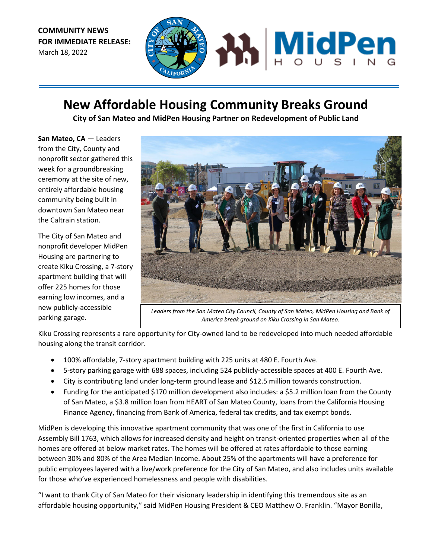**COMMUNITY NEWS FOR IMMEDIATE RELEASE:**  March 18, 2022



## **New Affordable Housing Community Breaks Ground**

**City of San Mateo and MidPen Housing Partner on Redevelopment of Public Land**

**San Mateo, CA** — Leaders from the City, County and nonprofit sector gathered this week for a groundbreaking ceremony at the site of new, entirely affordable housing community being built in downtown San Mateo near the Caltrain station.

The City of San Mateo and nonprofit developer MidPen Housing are partnering to create Kiku Crossing, a 7-story apartment building that will offer 225 homes for those earning low incomes, and a new publicly-accessible parking garage.



*Leaders from the San Mateo City Council, County of San Mateo, MidPen Housing and Bank of America break ground on Kiku Crossing in San Mateo.*

Kiku Crossing represents a rare opportunity for City-owned land to be redeveloped into much needed affordable housing along the transit corridor.

- 100% affordable, 7-story apartment building with 225 units at 480 E. Fourth Ave.
- 5-story parking garage with 688 spaces, including 524 publicly-accessible spaces at 400 E. Fourth Ave.
- City is contributing land under long-term ground lease and \$12.5 million towards construction.
- Funding for the anticipated \$170 million development also includes: a \$5.2 million loan from the County of San Mateo, a \$3.8 million loan from HEART of San Mateo County, loans from the California Housing Finance Agency, financing from Bank of America, federal tax credits, and tax exempt bonds.

MidPen is developing this innovative apartment community that was one of the first in California to use Assembly Bill 1763, which allows for increased density and height on transit-oriented properties when all of the homes are offered at below market rates. The homes will be offered at rates affordable to those earning between 30% and 80% of the Area Median Income. About 25% of the apartments will have a preference for public employees layered with a live/work preference for the City of San Mateo, and also includes units available for those who've experienced homelessness and people with disabilities.

"I want to thank City of San Mateo for their visionary leadership in identifying this tremendous site as an affordable housing opportunity," said MidPen Housing President & CEO Matthew O. Franklin. "Mayor Bonilla,